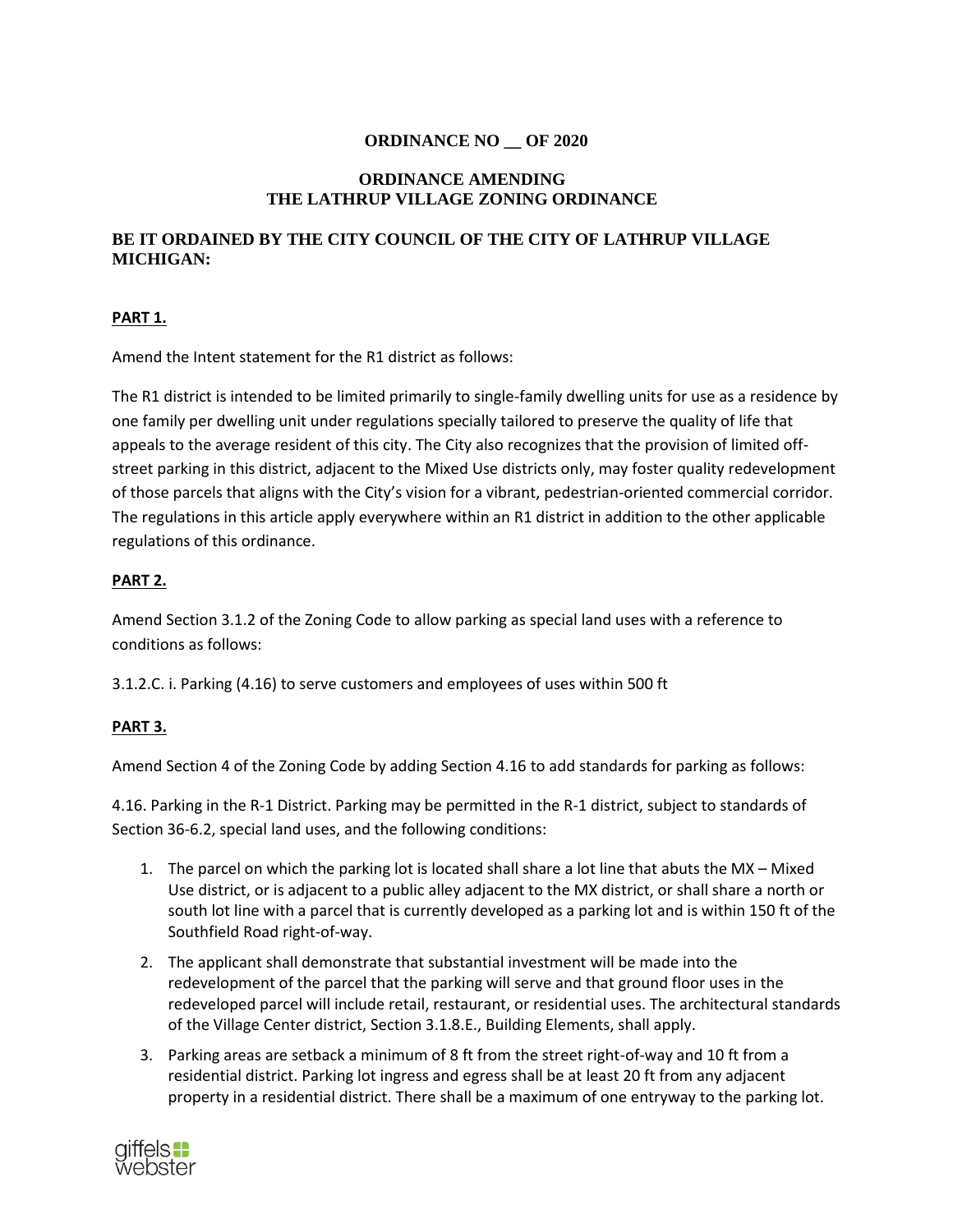## **ORDINANCE NO \_\_ OF 2020**

#### **ORDINANCE AMENDING THE LATHRUP VILLAGE ZONING ORDINANCE**

# **BE IT ORDAINED BY THE CITY COUNCIL OF THE CITY OF LATHRUP VILLAGE MICHIGAN:**

#### **PART 1.**

Amend the Intent statement for the R1 district as follows:

The R1 district is intended to be limited primarily to single-family dwelling units for use as a residence by one family per dwelling unit under regulations specially tailored to preserve the quality of life that appeals to the average resident of this city. The City also recognizes that the provision of limited offstreet parking in this district, adjacent to the Mixed Use districts only, may foster quality redevelopment of those parcels that aligns with the City's vision for a vibrant, pedestrian-oriented commercial corridor. The regulations in this article apply everywhere within an R1 district in addition to the other applicable regulations of this ordinance.

#### **PART 2.**

Amend Section 3.1.2 of the Zoning Code to allow parking as special land uses with a reference to conditions as follows:

3.1.2.C. i. Parking (4.16) to serve customers and employees of uses within 500 ft

## **PART 3.**

Amend Section 4 of the Zoning Code by adding Section 4.16 to add standards for parking as follows:

4.16. Parking in the R-1 District. Parking may be permitted in the R-1 district, subject to standards of Section 36-6.2, special land uses, and the following conditions:

- 1. The parcel on which the parking lot is located shall share a lot line that abuts the MX Mixed Use district, or is adjacent to a public alley adjacent to the MX district, or shall share a north or south lot line with a parcel that is currently developed as a parking lot and is within 150 ft of the Southfield Road right-of-way.
- 2. The applicant shall demonstrate that substantial investment will be made into the redevelopment of the parcel that the parking will serve and that ground floor uses in the redeveloped parcel will include retail, restaurant, or residential uses. The architectural standards of the Village Center district, Section 3.1.8.E., Building Elements, shall apply.
- 3. Parking areas are setback a minimum of 8 ft from the street right-of-way and 10 ft from a residential district. Parking lot ingress and egress shall be at least 20 ft from any adjacent property in a residential district. There shall be a maximum of one entryway to the parking lot.

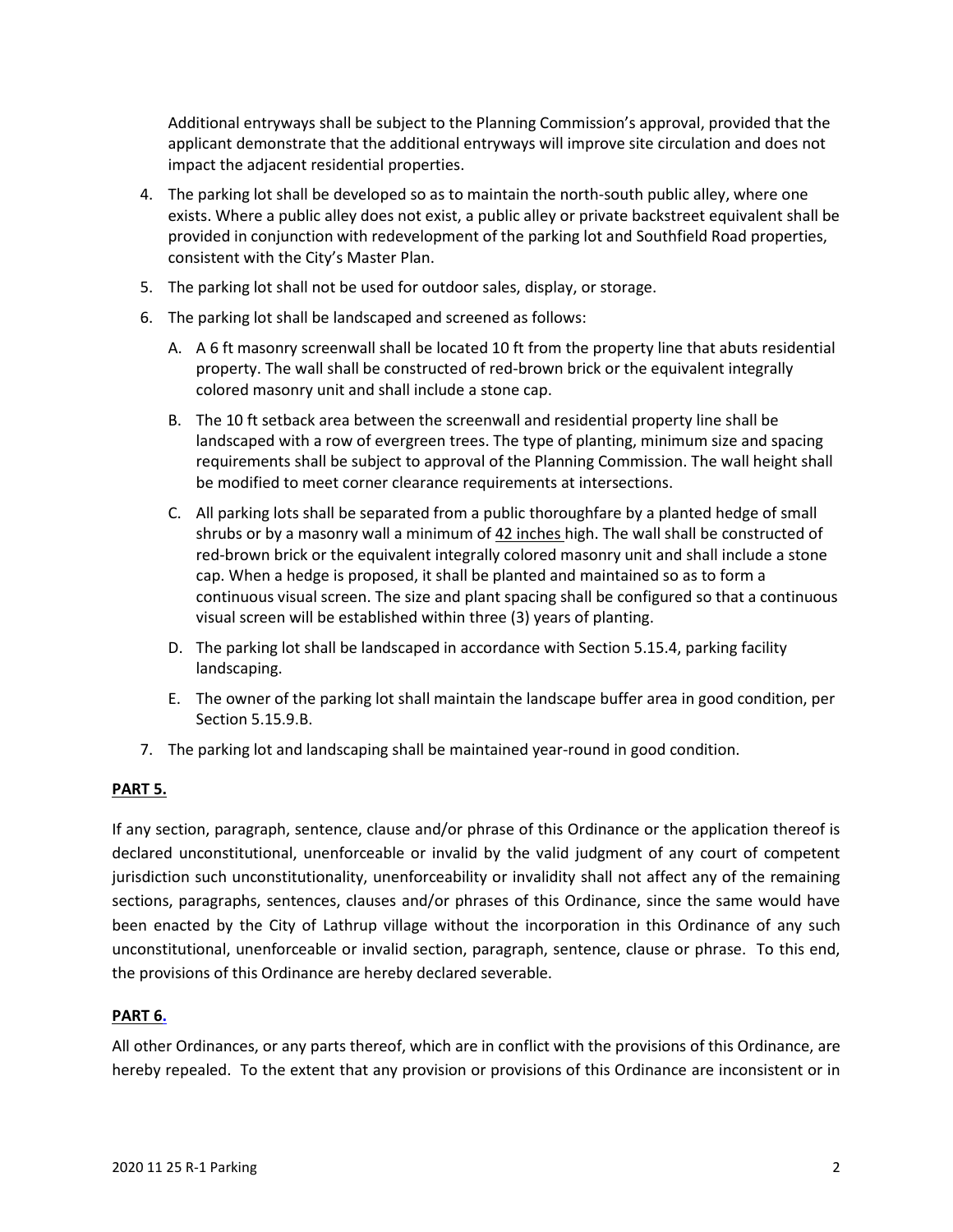Additional entryways shall be subject to the Planning Commission's approval, provided that the applicant demonstrate that the additional entryways will improve site circulation and does not impact the adjacent residential properties.

- 4. The parking lot shall be developed so as to maintain the north-south public alley, where one exists. Where a public alley does not exist, a public alley or private backstreet equivalent shall be provided in conjunction with redevelopment of the parking lot and Southfield Road properties, consistent with the City's Master Plan.
- 5. The parking lot shall not be used for outdoor sales, display, or storage.
- 6. The parking lot shall be landscaped and screened as follows:
	- A. A 6 ft masonry screenwall shall be located 10 ft from the property line that abuts residential property. The wall shall be constructed of red-brown brick or the equivalent integrally colored masonry unit and shall include a stone cap.
	- B. The 10 ft setback area between the screenwall and residential property line shall be landscaped with a row of evergreen trees. The type of planting, minimum size and spacing requirements shall be subject to approval of the Planning Commission. The wall height shall be modified to meet corner clearance requirements at intersections.
	- C. All parking lots shall be separated from a public thoroughfare by a planted hedge of small shrubs or by a masonry wall a minimum of 42 inches high. The wall shall be constructed of red-brown brick or the equivalent integrally colored masonry unit and shall include a stone cap. When a hedge is proposed, it shall be planted and maintained so as to form a continuous visual screen. The size and plant spacing shall be configured so that a continuous visual screen will be established within three (3) years of planting.
	- D. The parking lot shall be landscaped in accordance with Section 5.15.4, parking facility landscaping.
	- E. The owner of the parking lot shall maintain the landscape buffer area in good condition, per Section 5.15.9.B.
- 7. The parking lot and landscaping shall be maintained year-round in good condition.

#### **PART 5.**

If any section, paragraph, sentence, clause and/or phrase of this Ordinance or the application thereof is declared unconstitutional, unenforceable or invalid by the valid judgment of any court of competent jurisdiction such unconstitutionality, unenforceability or invalidity shall not affect any of the remaining sections, paragraphs, sentences, clauses and/or phrases of this Ordinance, since the same would have been enacted by the City of Lathrup village without the incorporation in this Ordinance of any such unconstitutional, unenforceable or invalid section, paragraph, sentence, clause or phrase. To this end, the provisions of this Ordinance are hereby declared severable.

#### **PART 6.**

All other Ordinances, or any parts thereof, which are in conflict with the provisions of this Ordinance, are hereby repealed. To the extent that any provision or provisions of this Ordinance are inconsistent or in